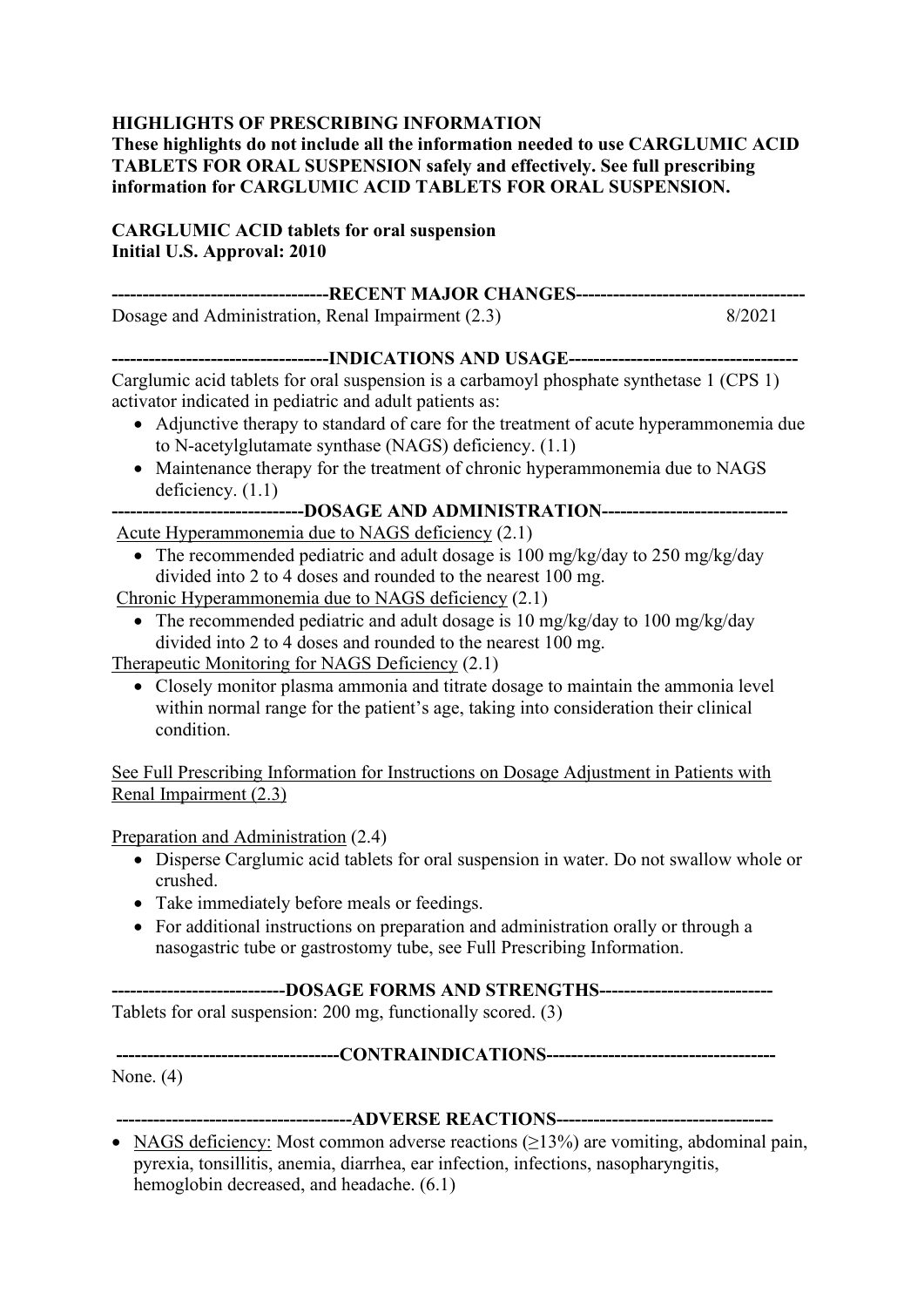#### **HIGHLIGHTS OF PRESCRIBING INFORMATION**

**These highlights do not include all the information needed to use CARGLUMIC ACID TABLETS FOR ORAL SUSPENSION safely and effectively. See full prescribing information for CARGLUMIC ACID TABLETS FOR ORAL SUSPENSION.**

#### **CARGLUMIC ACID tablets for oral suspension Initial U.S. Approval: 2010**

| Dosage and Administration, Renal Impairment (2.3)                                                                                              | 8/2021 |
|------------------------------------------------------------------------------------------------------------------------------------------------|--------|
|                                                                                                                                                |        |
| Carglumic acid tablets for oral suspension is a carbamoyl phosphate synthetase 1 (CPS 1)                                                       |        |
| activator indicated in pediatric and adult patients as:<br>A diunctive there is a standard of care for the treatment of acute hyperammones due |        |

- Adjunctive therapy to standard of care for the treatment of acute hyperammonemia due to N-acetylglutamate synthase (NAGS) deficiency. (1.1)
- Maintenance therapy for the treatment of chronic hyperammonemia due to NAGS deficiency.  $(1.1)$

|                                                                                                                                                                                                                                                                                                                                                                               |  |  |  | ------------------------------DOSAGE AND ADMINISTRATION------------------------------- |  |
|-------------------------------------------------------------------------------------------------------------------------------------------------------------------------------------------------------------------------------------------------------------------------------------------------------------------------------------------------------------------------------|--|--|--|----------------------------------------------------------------------------------------|--|
| $\mathbf{1}$ $\mathbf{1}$ $\mathbf{1}$ $\mathbf{1}$ $\mathbf{1}$ $\mathbf{1}$ $\mathbf{1}$ $\mathbf{1}$ $\mathbf{1}$ $\mathbf{1}$ $\mathbf{1}$ $\mathbf{1}$ $\mathbf{1}$ $\mathbf{1}$ $\mathbf{1}$ $\mathbf{1}$ $\mathbf{1}$ $\mathbf{1}$ $\mathbf{1}$ $\mathbf{1}$ $\mathbf{1}$ $\mathbf{1}$ $\mathbf{1}$ $\mathbf{1}$ $\mathbf{$<br>$\lambda$ $\lambda$ $\lambda$ $\lambda$ |  |  |  |                                                                                        |  |

Acute Hyperammonemia due to NAGS deficiency (2.1)

• The recommended pediatric and adult dosage is 100 mg/kg/day to 250 mg/kg/day divided into 2 to 4 doses and rounded to the nearest 100 mg.

Chronic Hyperammonemia due to NAGS deficiency (2.1)

• The recommended pediatric and adult dosage is 10 mg/kg/day to 100 mg/kg/day divided into 2 to 4 doses and rounded to the nearest 100 mg.

Therapeutic Monitoring for NAGS Deficiency (2.1)

• Closely monitor plasma ammonia and titrate dosage to maintain the ammonia level within normal range for the patient's age, taking into consideration their clinical condition.

See Full Prescribing Information for Instructions on Dosage Adjustment in Patients with Renal Impairment (2.3)

Preparation and Administration (2.4)

- Disperse Carglumic acid tablets for oral suspension in water. Do not swallow whole or crushed.
- Take immediately before meals or feedings.
- For additional instructions on preparation and administration orally or through a nasogastric tube or gastrostomy tube, see Full Prescribing Information.

**----------------------------DOSAGE FORMS AND STRENGTHS----------------------------** Tablets for oral suspension: 200 mg, functionally scored. (3)

**------------------------------------CONTRAINDICATIONS-------------------------------------** None. (4)

**--------------------------------------ADVERSE REACTIONS-----------------------------------** • NAGS deficiency: Most common adverse reactions  $(\geq 13\%)$  are vomiting, abdominal pain, pyrexia, tonsillitis, anemia, diarrhea, ear infection, infections, nasopharyngitis, hemoglobin decreased, and headache. (6.1)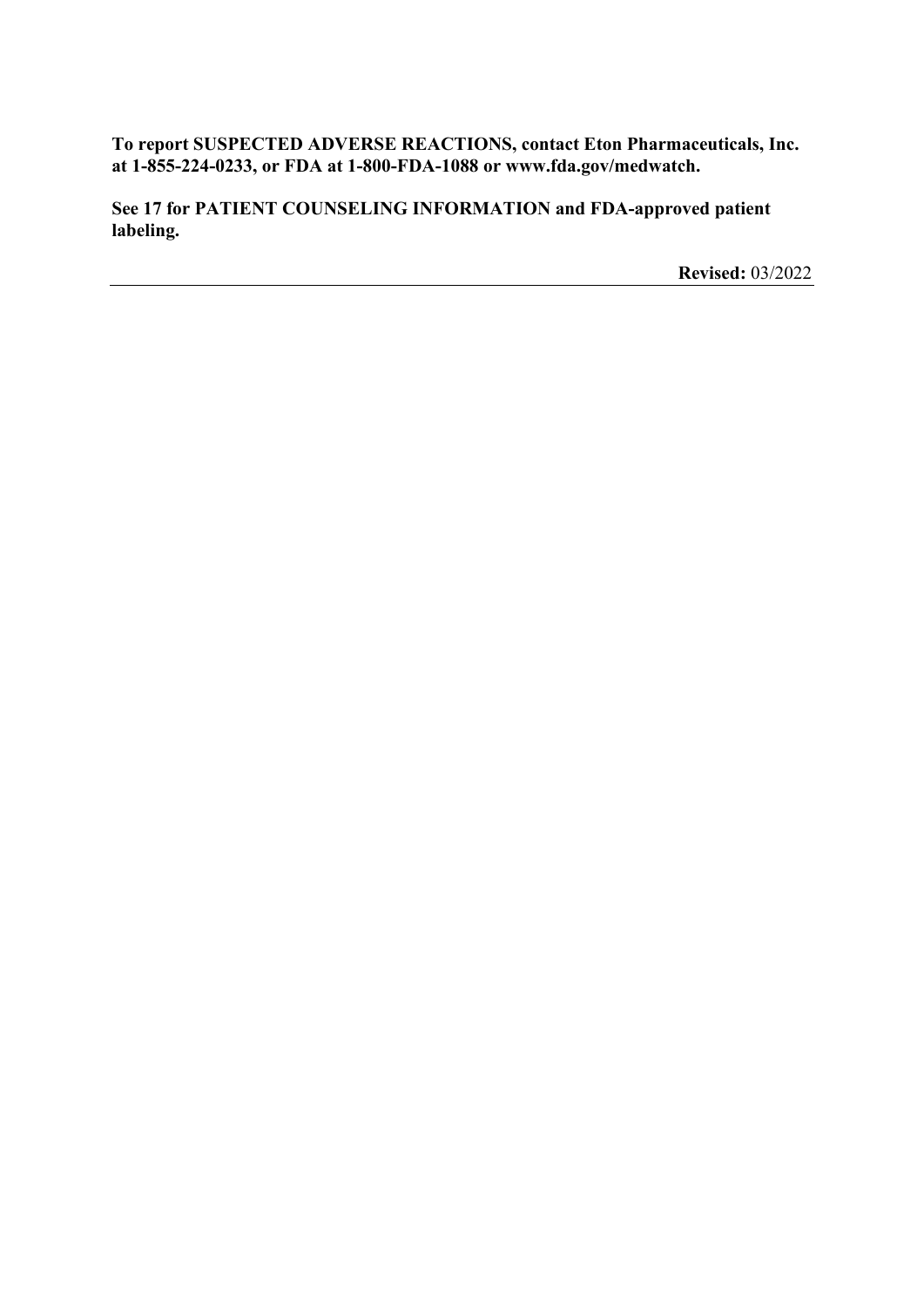**To report SUSPECTED ADVERSE REACTIONS, contact Eton Pharmaceuticals, Inc. at 1-855-224-0233, or FDA at 1-800-FDA-1088 or www.fda.gov/medwatch.**

**See 17 for PATIENT COUNSELING INFORMATION and FDA-approved patient labeling.**

**Revised:** 03/2022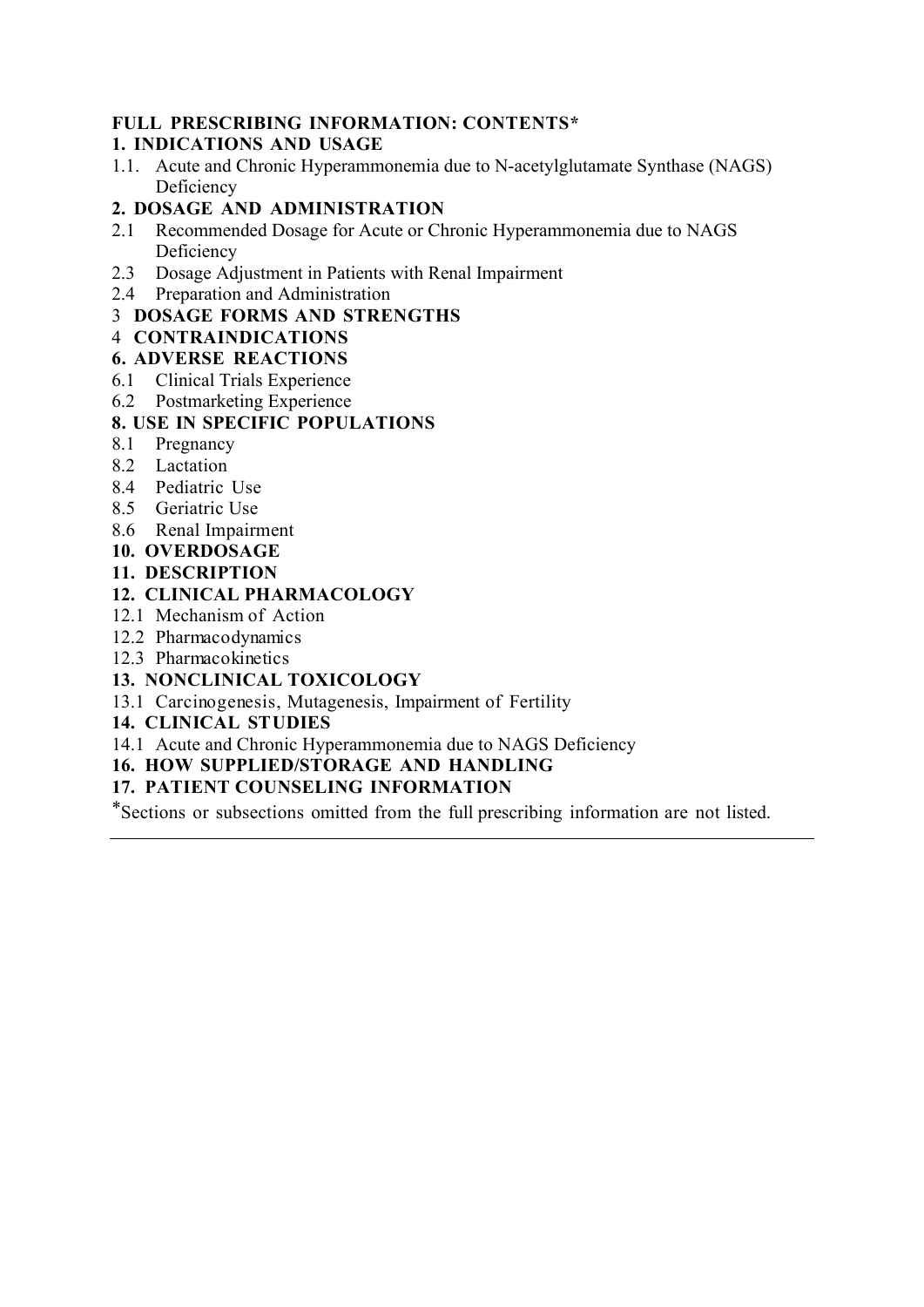## **FULL PRESCRIBING INFORMATION: CONTENTS\***

## **1. INDICATIONS AND USAGE**

1.1. Acute and Chronic Hyperammonemia due to N-acetylglutamate Synthase (NAGS) Deficiency

## **2. DOSAGE AND ADMINISTRATION**

- 2.1 Recommended Dosage for Acute or Chronic Hyperammonemia due to NAGS Deficiency
- 2.3 Dosage Adjustment in Patients with Renal Impairment
- 2.4 Preparation and Administration

## 3 **DOSAGE FORMS AND STRENGTHS**

## 4 **CONTRAINDICATIONS**

## **6. ADVERSE REACTIONS**

- 6.1 Clinical Trials Experience
- 6.2 Postmarketing Experience

## **8. USE IN SPECIFIC POPULATIONS**

- 8.1 Pregnancy
- 8.2 Lactation
- 8.4 Pediatric Use
- 8.5 Geriatric Use
- 8.6 Renal Impairment
- **10. OVERDOSAGE**
- **11. DESCRIPTION**

## **12. CLINICAL PHARMACOLOGY**

- 12.1 Mechanism of Action
- 12.2 Pharmacodynamics
- 12.3 Pharmacokinetics
- **13. NONCLINICAL TOXICOLOGY**
- 13.1 Carcinogenesis, Mutagenesis, Impairment of Fertility
- **14. CLINICAL STUDIES**
- 14.1 Acute and Chronic Hyperammonemia due to NAGS Deficiency

## **16. HOW SUPPLIED/STORAGE AND HANDLING**

## **17. PATIENT COUNSELING INFORMATION**

\*Sections or subsections omitted from the full prescribing information are not listed.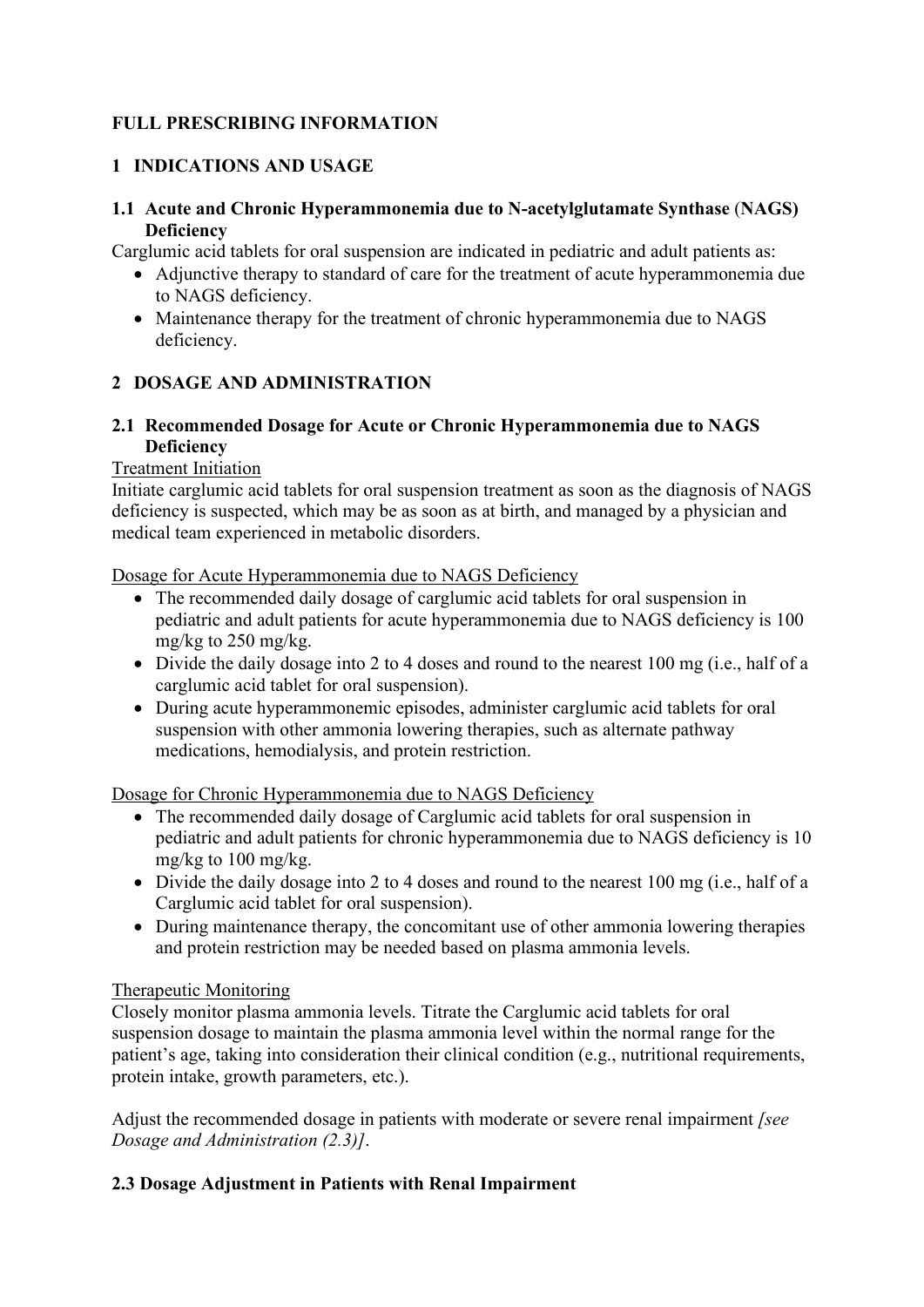# **FULL PRESCRIBING INFORMATION**

# **1 INDICATIONS AND USAGE**

## **1.1 Acute and Chronic Hyperammonemia due to N-acetylglutamate Synthase** (**NAGS) Deficiency**

Carglumic acid tablets for oral suspension are indicated in pediatric and adult patients as:

- Adjunctive therapy to standard of care for the treatment of acute hyperammonemia due to NAGS deficiency.
- Maintenance therapy for the treatment of chronic hyperammonemia due to NAGS deficiency.

# **2 DOSAGE AND ADMINISTRATION**

## **2.1 Recommended Dosage for Acute or Chronic Hyperammonemia due to NAGS Deficiency**

## Treatment Initiation

Initiate carglumic acid tablets for oral suspension treatment as soon as the diagnosis of NAGS deficiency is suspected, which may be as soon as at birth, and managed by a physician and medical team experienced in metabolic disorders.

Dosage for Acute Hyperammonemia due to NAGS Deficiency

- The recommended daily dosage of carglumic acid tablets for oral suspension in pediatric and adult patients for acute hyperammonemia due to NAGS deficiency is 100 mg/kg to 250 mg/kg.
- Divide the daily dosage into 2 to 4 doses and round to the nearest 100 mg (i.e., half of a carglumic acid tablet for oral suspension).
- During acute hyperammonemic episodes, administer carglumic acid tablets for oral suspension with other ammonia lowering therapies, such as alternate pathway medications, hemodialysis, and protein restriction.

Dosage for Chronic Hyperammonemia due to NAGS Deficiency

- The recommended daily dosage of Carglumic acid tablets for oral suspension in pediatric and adult patients for chronic hyperammonemia due to NAGS deficiency is 10 mg/kg to 100 mg/kg.
- Divide the daily dosage into 2 to 4 doses and round to the nearest 100 mg (i.e., half of a Carglumic acid tablet for oral suspension).
- During maintenance therapy, the concomitant use of other ammonia lowering therapies and protein restriction may be needed based on plasma ammonia levels.

# Therapeutic Monitoring

Closely monitor plasma ammonia levels. Titrate the Carglumic acid tablets for oral suspension dosage to maintain the plasma ammonia level within the normal range for the patient's age, taking into consideration their clinical condition (e.g., nutritional requirements, protein intake, growth parameters, etc.).

Adjust the recommended dosage in patients with moderate or severe renal impairment *[see Dosage and Administration (2.3)]*.

# **2.3 Dosage Adjustment in Patients with Renal Impairment**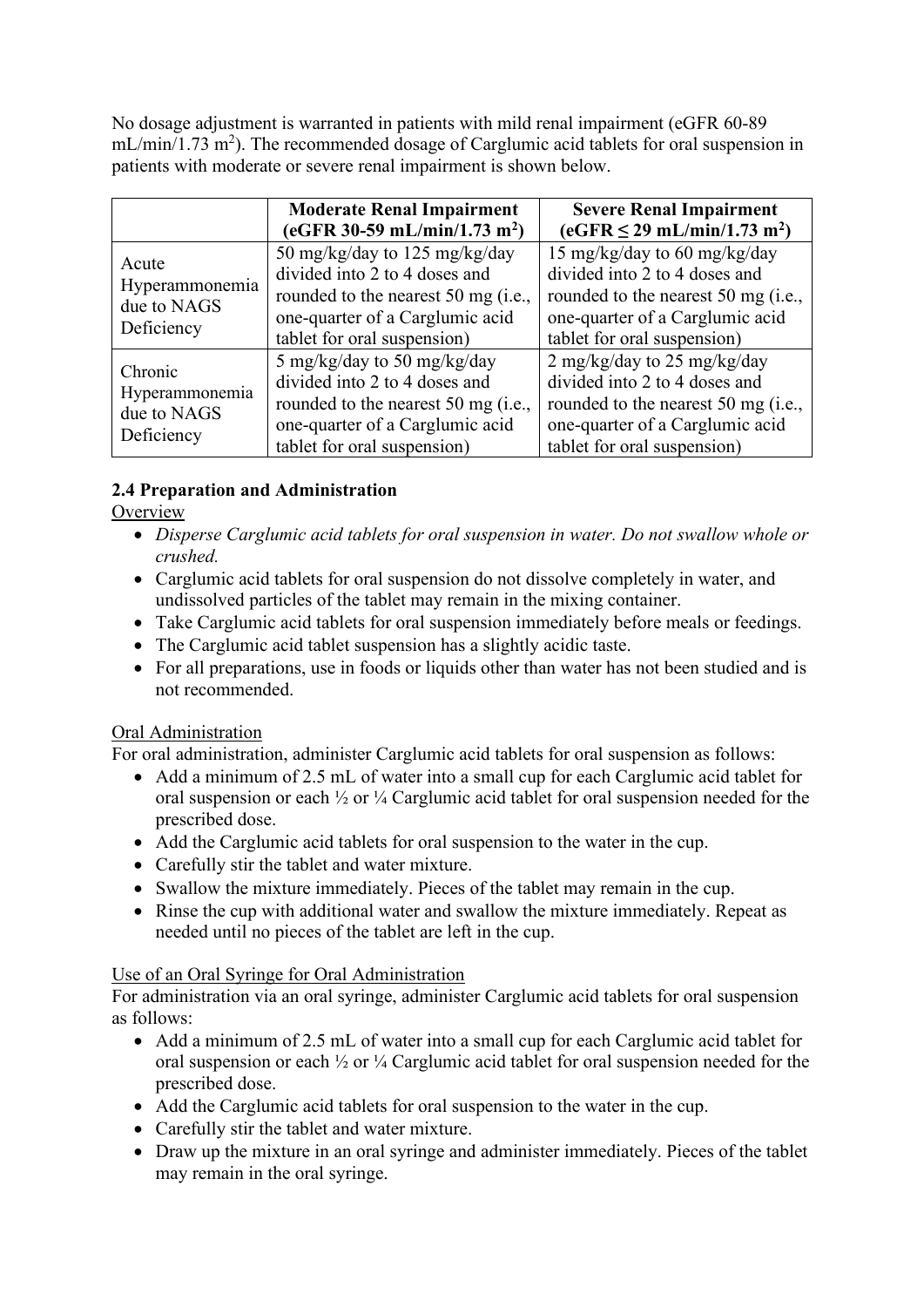No dosage adjustment is warranted in patients with mild renal impairment (eGFR 60-89  $mL/min/1.73 m<sup>2</sup>$ ). The recommended dosage of Carglumic acid tablets for oral suspension in patients with moderate or severe renal impairment is shown below.

|                                                        | <b>Moderate Renal Impairment</b><br>(eGFR 30-59 mL/min/1.73 m <sup>2</sup> )                                                                                            | <b>Severe Renal Impairment</b><br>$(eGFR \le 29 \text{ mL/min}/1.73 \text{ m}^2)$                                                                                      |
|--------------------------------------------------------|-------------------------------------------------------------------------------------------------------------------------------------------------------------------------|------------------------------------------------------------------------------------------------------------------------------------------------------------------------|
| Acute<br>Hyperammonemia<br>due to NAGS<br>Deficiency   | 50 mg/kg/day to 125 mg/kg/day<br>divided into 2 to 4 doses and<br>rounded to the nearest 50 mg (i.e.,<br>one-quarter of a Carglumic acid<br>tablet for oral suspension) | 15 mg/kg/day to 60 mg/kg/day<br>divided into 2 to 4 doses and<br>rounded to the nearest 50 mg (i.e.,<br>one-quarter of a Carglumic acid<br>tablet for oral suspension) |
| Chronic<br>Hyperammonemia<br>due to NAGS<br>Deficiency | 5 mg/kg/day to 50 mg/kg/day<br>divided into 2 to 4 doses and<br>rounded to the nearest 50 mg (i.e.,<br>one-quarter of a Carglumic acid<br>tablet for oral suspension)   | 2 mg/kg/day to 25 mg/kg/day<br>divided into 2 to 4 doses and<br>rounded to the nearest 50 mg (i.e.,<br>one-quarter of a Carglumic acid<br>tablet for oral suspension)  |

# **2.4 Preparation and Administration**

**Overview** 

- *Disperse Carglumic acid tablets for oral suspension in water. Do not swallow whole or crushed.*
- Carglumic acid tablets for oral suspension do not dissolve completely in water, and undissolved particles of the tablet may remain in the mixing container.
- Take Carglumic acid tablets for oral suspension immediately before meals or feedings.
- The Carglumic acid tablet suspension has a slightly acidic taste.
- For all preparations, use in foods or liquids other than water has not been studied and is not recommended.

# Oral Administration

For oral administration, administer Carglumic acid tablets for oral suspension as follows:

- Add a minimum of 2.5 mL of water into a small cup for each Carglumic acid tablet for oral suspension or each ½ or ¼ Carglumic acid tablet for oral suspension needed for the prescribed dose.
- Add the Carglumic acid tablets for oral suspension to the water in the cup.
- Carefully stir the tablet and water mixture.
- Swallow the mixture immediately. Pieces of the tablet may remain in the cup.
- Rinse the cup with additional water and swallow the mixture immediately. Repeat as needed until no pieces of the tablet are left in the cup.

# Use of an Oral Syringe for Oral Administration

For administration via an oral syringe, administer Carglumic acid tablets for oral suspension as follows:

- Add a minimum of 2.5 mL of water into a small cup for each Carglumic acid tablet for oral suspension or each ½ or ¼ Carglumic acid tablet for oral suspension needed for the prescribed dose.
- Add the Carglumic acid tablets for oral suspension to the water in the cup.
- Carefully stir the tablet and water mixture.
- Draw up the mixture in an oral syringe and administer immediately. Pieces of the tablet may remain in the oral syringe.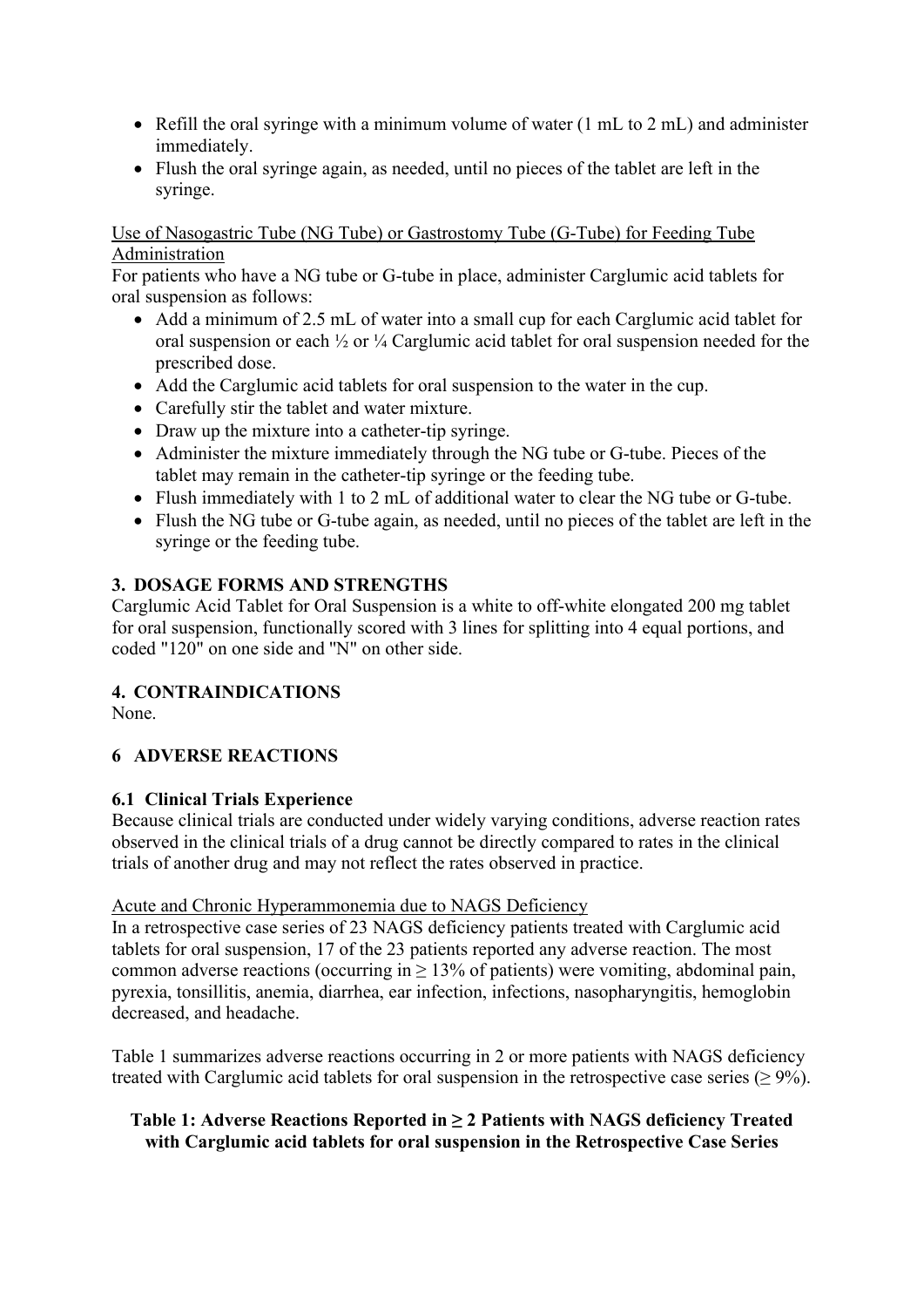- Refill the oral syringe with a minimum volume of water (1 mL to 2 mL) and administer immediately.
- Flush the oral syringe again, as needed, until no pieces of the tablet are left in the syringe.

#### Use of Nasogastric Tube (NG Tube) or Gastrostomy Tube (G-Tube) for Feeding Tube Administration

For patients who have a NG tube or G-tube in place, administer Carglumic acid tablets for oral suspension as follows:

- Add a minimum of 2.5 mL of water into a small cup for each Carglumic acid tablet for oral suspension or each ½ or ¼ Carglumic acid tablet for oral suspension needed for the prescribed dose.
- Add the Carglumic acid tablets for oral suspension to the water in the cup.
- Carefully stir the tablet and water mixture.
- Draw up the mixture into a catheter-tip syringe.
- Administer the mixture immediately through the NG tube or G-tube. Pieces of the tablet may remain in the catheter-tip syringe or the feeding tube.
- Flush immediately with 1 to 2 mL of additional water to clear the NG tube or G-tube.
- Flush the NG tube or G-tube again, as needed, until no pieces of the tablet are left in the syringe or the feeding tube.

## **3. DOSAGE FORMS AND STRENGTHS**

Carglumic Acid Tablet for Oral Suspension is a white to off-white elongated 200 mg tablet for oral suspension, functionally scored with 3 lines for splitting into 4 equal portions, and coded "120" on one side and ''N" on other side.

## **4. CONTRAINDICATIONS**

None.

# **6 ADVERSE REACTIONS**

## **6.1 Clinical Trials Experience**

Because clinical trials are conducted under widely varying conditions, adverse reaction rates observed in the clinical trials of a drug cannot be directly compared to rates in the clinical trials of another drug and may not reflect the rates observed in practice.

## Acute and Chronic Hyperammonemia due to NAGS Deficiency

In a retrospective case series of 23 NAGS deficiency patients treated with Carglumic acid tablets for oral suspension, 17 of the 23 patients reported any adverse reaction. The most common adverse reactions (occurring in  $\geq 13\%$  of patients) were vomiting, abdominal pain, pyrexia, tonsillitis, anemia, diarrhea, ear infection, infections, nasopharyngitis, hemoglobin decreased, and headache.

Table 1 summarizes adverse reactions occurring in 2 or more patients with NAGS deficiency treated with Carglumic acid tablets for oral suspension in the retrospective case series  $(\geq 9\%)$ .

## **Table 1: Adverse Reactions Reported in ≥ 2 Patients with NAGS deficiency Treated with Carglumic acid tablets for oral suspension in the Retrospective Case Series**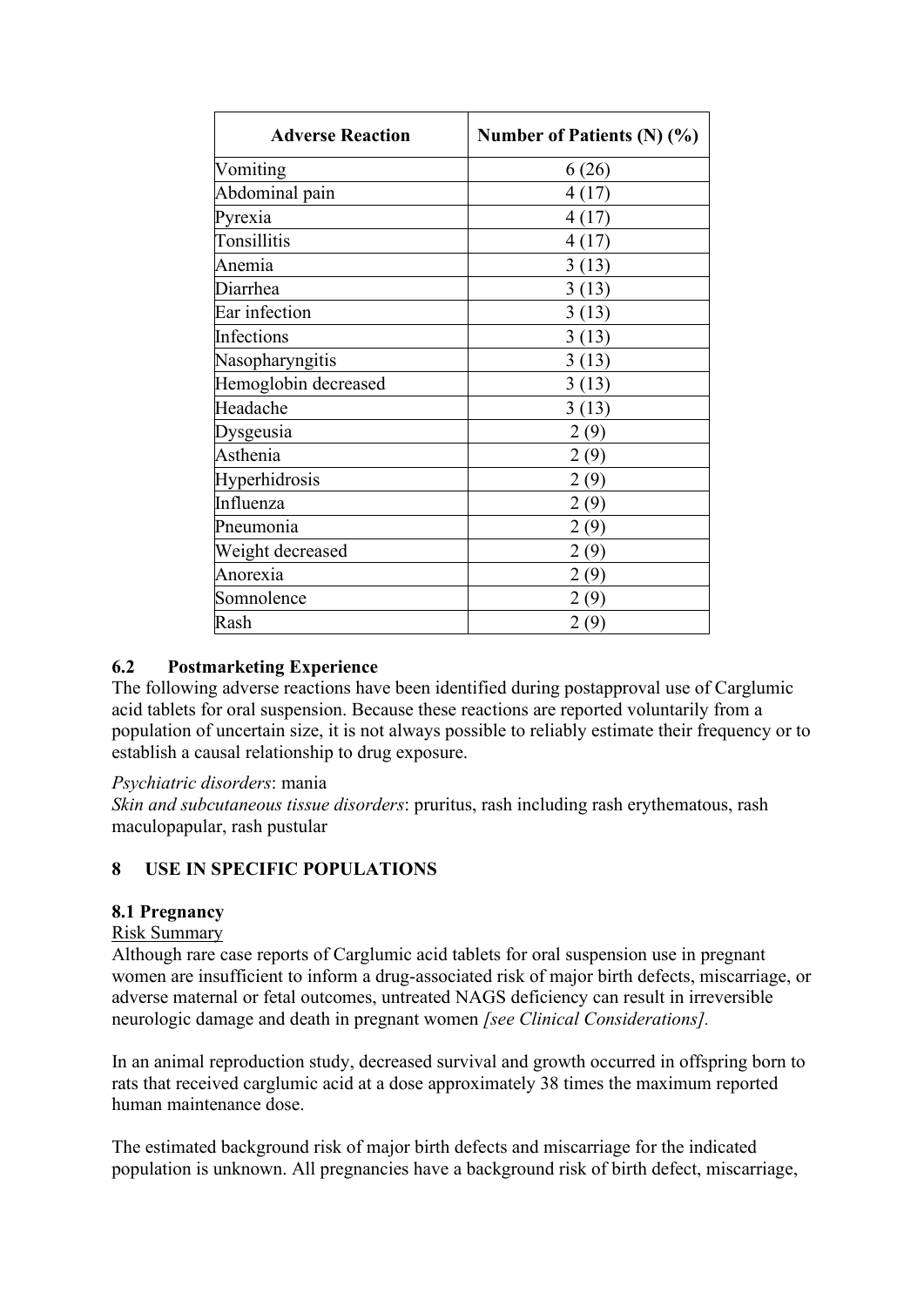| <b>Adverse Reaction</b> | Number of Patients (N) (%) |
|-------------------------|----------------------------|
| Vomiting                | 6(26)                      |
| Abdominal pain          | 4(17)                      |
| Pyrexia                 | 4(17)                      |
| Tonsillitis             | 4(17)                      |
| Anemia                  | 3(13)                      |
| Diarrhea                | 3(13)                      |
| Ear infection           | 3(13)                      |
| Infections              | 3(13)                      |
| Nasopharyngitis         | 3(13)                      |
| Hemoglobin decreased    | 3(13)                      |
| Headache                | 3(13)                      |
| Dysgeusia               | 2(9)                       |
| Asthenia                | 2(9)                       |
| Hyperhidrosis           | 2(9)                       |
| Influenza               | 2(9)                       |
| Pneumonia               | 2(9)                       |
| Weight decreased        | 2(9)                       |
| Anorexia                | 2(9)                       |
| Somnolence              | 2(9)                       |
| Rash                    | 2(9)                       |

## **6.2 Postmarketing Experience**

The following adverse reactions have been identified during postapproval use of Carglumic acid tablets for oral suspension. Because these reactions are reported voluntarily from a population of uncertain size, it is not always possible to reliably estimate their frequency or to establish a causal relationship to drug exposure.

#### *Psychiatric disorders*: mania

*Skin and subcutaneous tissue disorders*: pruritus, rash including rash erythematous, rash maculopapular, rash pustular

## **8 USE IN SPECIFIC POPULATIONS**

#### **8.1 Pregnancy**

#### Risk Summary

Although rare case reports of Carglumic acid tablets for oral suspension use in pregnant women are insufficient to inform a drug-associated risk of major birth defects, miscarriage, or adverse maternal or fetal outcomes, untreated NAGS deficiency can result in irreversible neurologic damage and death in pregnant women *[see Clinical Considerations].*

In an animal reproduction study, decreased survival and growth occurred in offspring born to rats that received carglumic acid at a dose approximately 38 times the maximum reported human maintenance dose.

The estimated background risk of major birth defects and miscarriage for the indicated population is unknown. All pregnancies have a background risk of birth defect, miscarriage,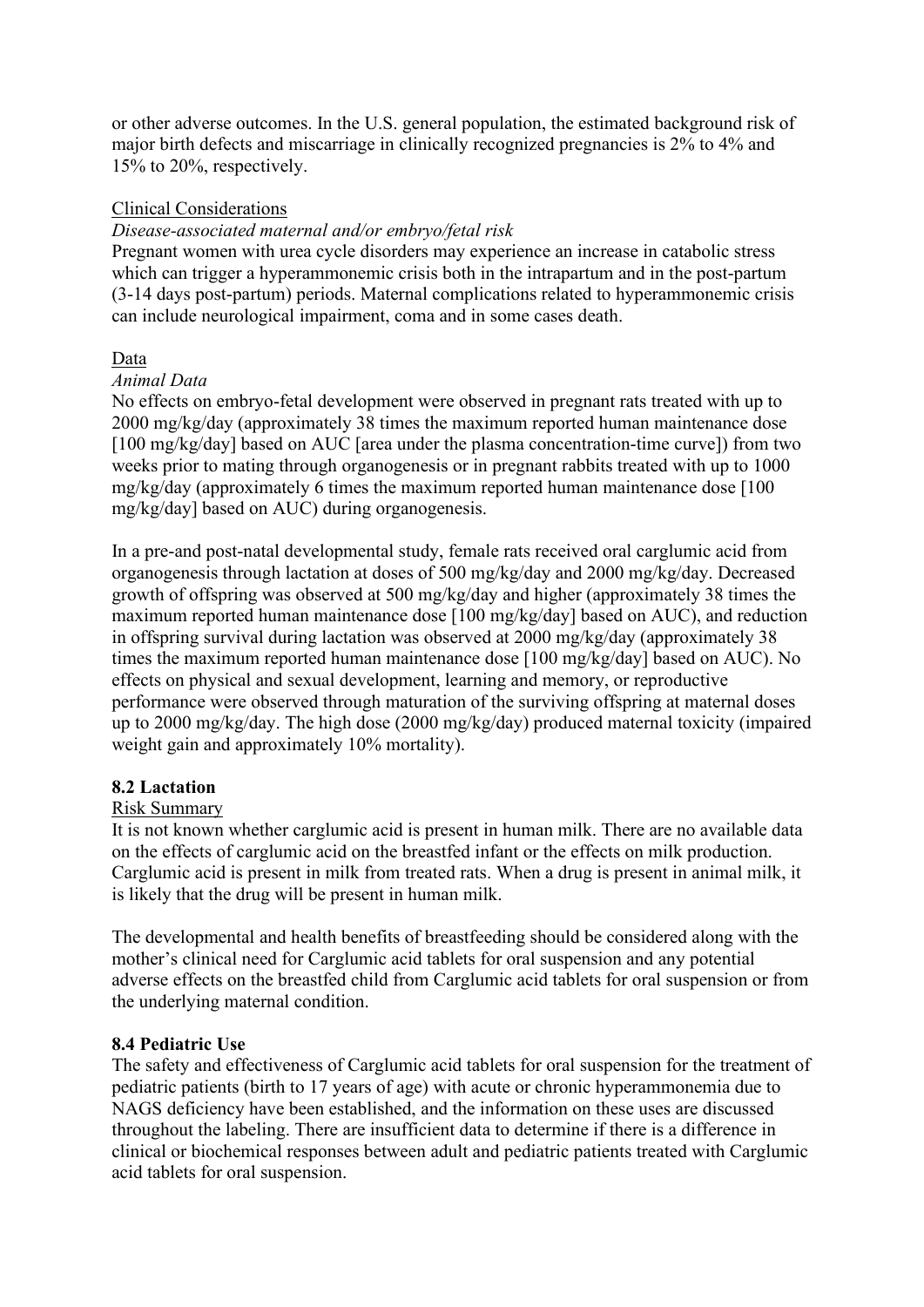or other adverse outcomes. In the U.S. general population, the estimated background risk of major birth defects and miscarriage in clinically recognized pregnancies is 2% to 4% and 15% to 20%, respectively.

#### Clinical Considerations

#### *Disease-associated maternal and/or embryo/fetal risk*

Pregnant women with urea cycle disorders may experience an increase in catabolic stress which can trigger a hyperammonemic crisis both in the intrapartum and in the post-partum (3-14 days post-partum) periods. Maternal complications related to hyperammonemic crisis can include neurological impairment, coma and in some cases death.

## Data

#### *Animal Data*

No effects on embryo-fetal development were observed in pregnant rats treated with up to 2000 mg/kg/day (approximately 38 times the maximum reported human maintenance dose [100 mg/kg/day] based on AUC [area under the plasma concentration-time curve]) from two weeks prior to mating through organogenesis or in pregnant rabbits treated with up to 1000 mg/kg/day (approximately 6 times the maximum reported human maintenance dose [100 mg/kg/day] based on AUC) during organogenesis.

In a pre-and post-natal developmental study, female rats received oral carglumic acid from organogenesis through lactation at doses of 500 mg/kg/day and 2000 mg/kg/day. Decreased growth of offspring was observed at 500 mg/kg/day and higher (approximately 38 times the maximum reported human maintenance dose [100 mg/kg/day] based on AUC), and reduction in offspring survival during lactation was observed at 2000 mg/kg/day (approximately 38 times the maximum reported human maintenance dose [100 mg/kg/day] based on AUC). No effects on physical and sexual development, learning and memory, or reproductive performance were observed through maturation of the surviving offspring at maternal doses up to 2000 mg/kg/day. The high dose (2000 mg/kg/day) produced maternal toxicity (impaired weight gain and approximately 10% mortality).

#### **8.2 Lactation**

#### Risk Summary

It is not known whether carglumic acid is present in human milk. There are no available data on the effects of carglumic acid on the breastfed infant or the effects on milk production. Carglumic acid is present in milk from treated rats. When a drug is present in animal milk, it is likely that the drug will be present in human milk.

The developmental and health benefits of breastfeeding should be considered along with the mother's clinical need for Carglumic acid tablets for oral suspension and any potential adverse effects on the breastfed child from Carglumic acid tablets for oral suspension or from the underlying maternal condition.

## **8.4 Pediatric Use**

The safety and effectiveness of Carglumic acid tablets for oral suspension for the treatment of pediatric patients (birth to 17 years of age) with acute or chronic hyperammonemia due to NAGS deficiency have been established, and the information on these uses are discussed throughout the labeling. There are insufficient data to determine if there is a difference in clinical or biochemical responses between adult and pediatric patients treated with Carglumic acid tablets for oral suspension.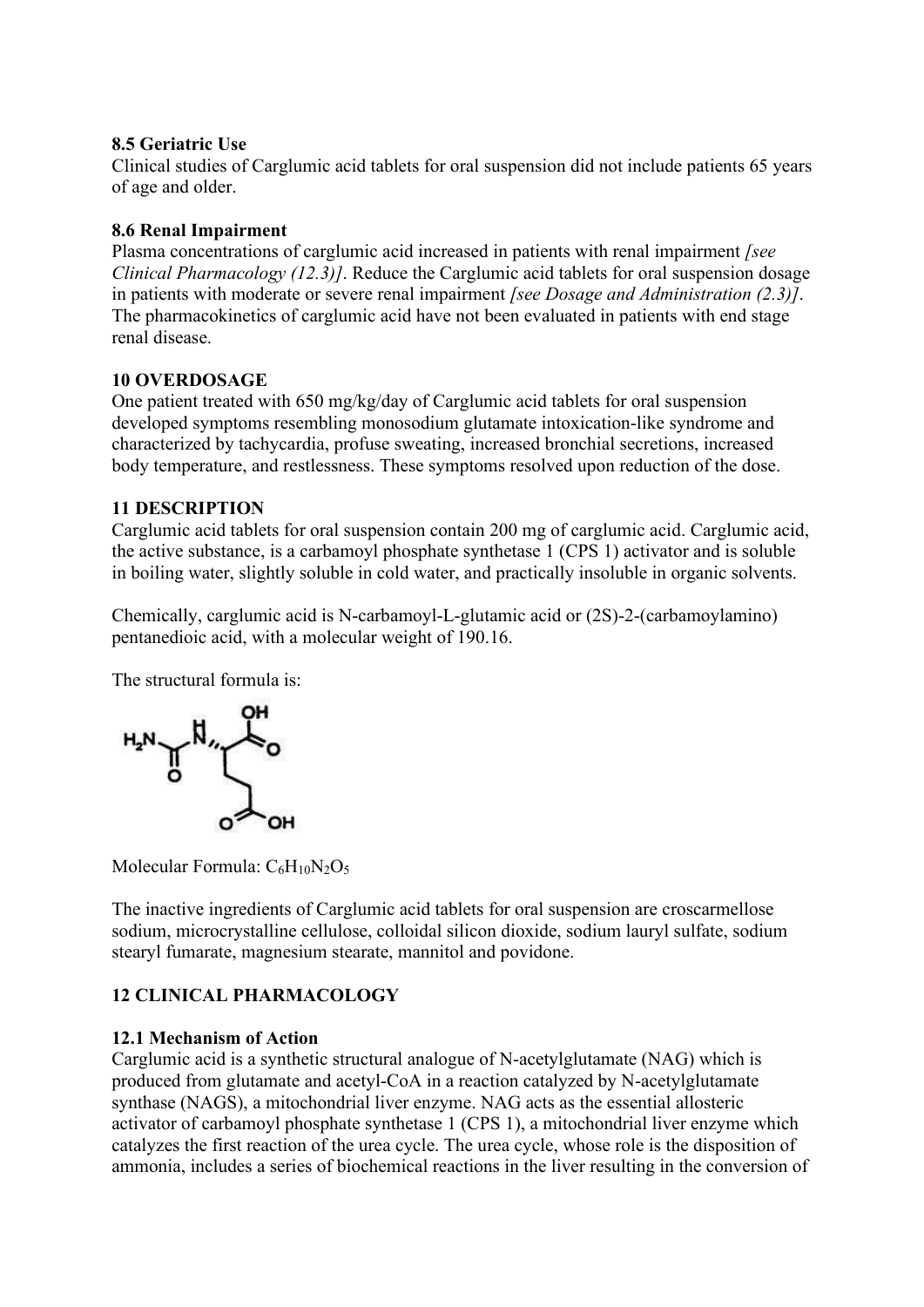## **8.5 Geriatric Use**

Clinical studies of Carglumic acid tablets for oral suspension did not include patients 65 years of age and older.

#### **8.6 Renal Impairment**

Plasma concentrations of carglumic acid increased in patients with renal impairment *[see Clinical Pharmacology (12.3)]*. Reduce the Carglumic acid tablets for oral suspension dosage in patients with moderate or severe renal impairment *[see Dosage and Administration (2.3)]*. The pharmacokinetics of carglumic acid have not been evaluated in patients with end stage renal disease.

#### **10 OVERDOSAGE**

One patient treated with 650 mg/kg/day of Carglumic acid tablets for oral suspension developed symptoms resembling monosodium glutamate intoxication-like syndrome and characterized by tachycardia, profuse sweating, increased bronchial secretions, increased body temperature, and restlessness. These symptoms resolved upon reduction of the dose.

#### **11 DESCRIPTION**

Carglumic acid tablets for oral suspension contain 200 mg of carglumic acid. Carglumic acid, the active substance, is a carbamoyl phosphate synthetase 1 (CPS 1) activator and is soluble in boiling water, slightly soluble in cold water, and practically insoluble in organic solvents.

Chemically, carglumic acid is N-carbamoyl-L-glutamic acid or (2S)-2-(carbamoylamino) pentanedioic acid, with a molecular weight of 190.16.

The structural formula is:



Molecular Formula:  $C_6H_{10}N_2O_5$ 

The inactive ingredients of Carglumic acid tablets for oral suspension are croscarmellose sodium, microcrystalline cellulose, colloidal silicon dioxide, sodium lauryl sulfate, sodium stearyl fumarate, magnesium stearate, mannitol and povidone.

# **12 CLINICAL PHARMACOLOGY**

## **12.1 Mechanism of Action**

Carglumic acid is a synthetic structural analogue of N-acetylglutamate (NAG) which is produced from glutamate and acetyl-CoA in a reaction catalyzed by N-acetylglutamate synthase (NAGS), a mitochondrial liver enzyme. NAG acts as the essential allosteric activator of carbamoyl phosphate synthetase 1 (CPS 1), a mitochondrial liver enzyme which catalyzes the first reaction of the urea cycle. The urea cycle, whose role is the disposition of ammonia, includes a series of biochemical reactions in the liver resulting in the conversion of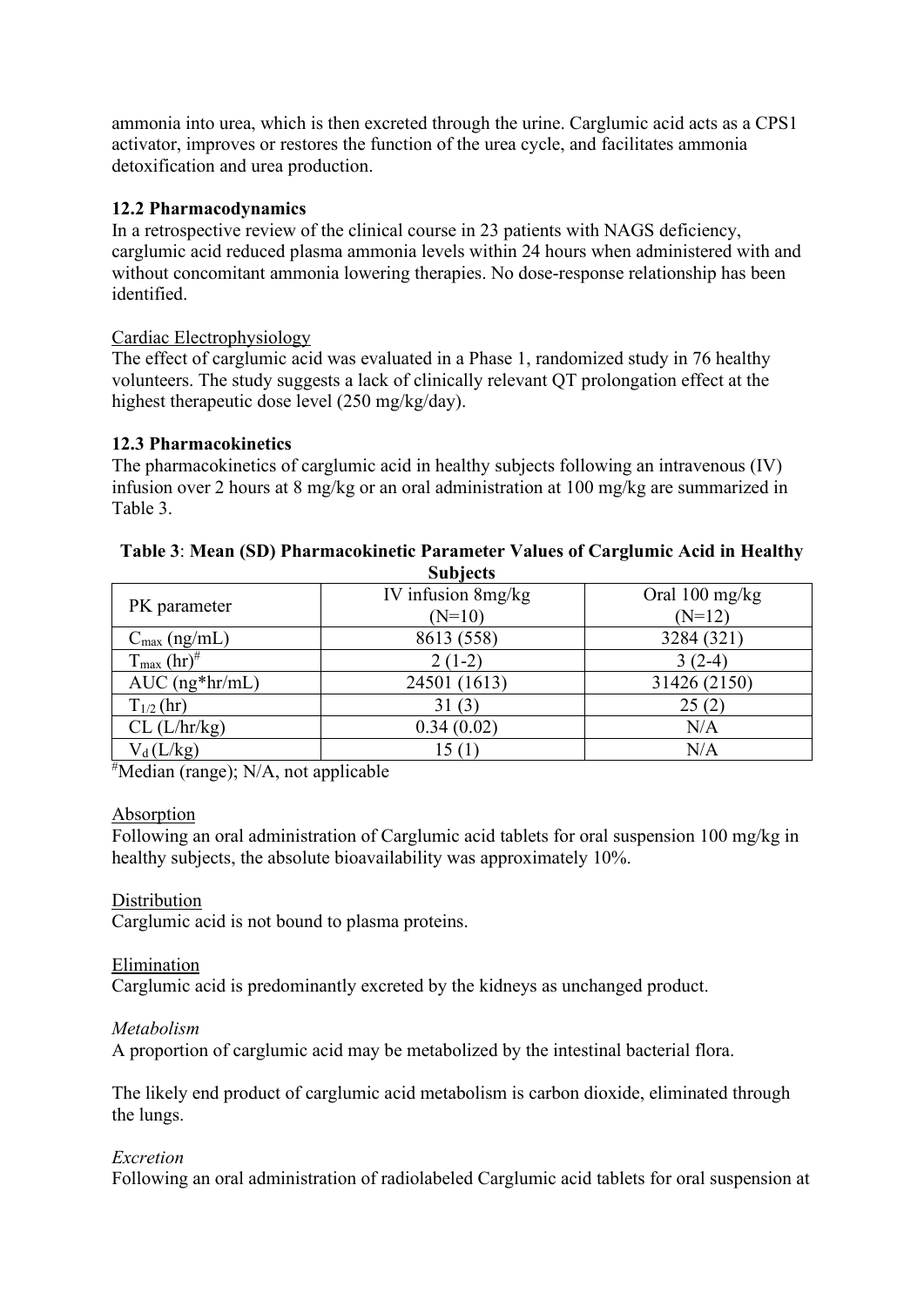ammonia into urea, which is then excreted through the urine. Carglumic acid acts as a CPS1 activator, improves or restores the function of the urea cycle, and facilitates ammonia detoxification and urea production.

#### **12.2 Pharmacodynamics**

In a retrospective review of the clinical course in 23 patients with NAGS deficiency, carglumic acid reduced plasma ammonia levels within 24 hours when administered with and without concomitant ammonia lowering therapies. No dose-response relationship has been identified.

#### Cardiac Electrophysiology

The effect of carglumic acid was evaluated in a Phase 1, randomized study in 76 healthy volunteers. The study suggests a lack of clinically relevant QT prolongation effect at the highest therapeutic dose level (250 mg/kg/day).

## **12.3 Pharmacokinetics**

The pharmacokinetics of carglumic acid in healthy subjects following an intravenous (IV) infusion over 2 hours at 8 mg/kg or an oral administration at 100 mg/kg are summarized in Table 3.

| $0$ u $0$ ject $0$                 |                    |                          |  |  |  |
|------------------------------------|--------------------|--------------------------|--|--|--|
| PK parameter                       | IV infusion 8mg/kg | Oral $100 \text{ mg/kg}$ |  |  |  |
|                                    | $(N=10)$           | $(N=12)$                 |  |  |  |
| $C_{\text{max}}$ (ng/mL)           | 8613 (558)         | 3284 (321)               |  |  |  |
| $T_{\text{max}}$ (hr) <sup>#</sup> | $2(1-2)$           | $3(2-4)$                 |  |  |  |
| $AUC$ (ng*hr/mL)                   | 24501 (1613)       | 31426 (2150)             |  |  |  |
| $T_{1/2}$ (hr)                     | 31(3)              | 25(2)                    |  |  |  |
| $CL$ ( $L/hr/kg$ )                 | 0.34(0.02)         | N/A                      |  |  |  |
| $V_d(L/kg)$                        | 15 (1              | N/A                      |  |  |  |
|                                    |                    |                          |  |  |  |

#### **Table 3**: **Mean (SD) Pharmacokinetic Parameter Values of Carglumic Acid in Healthy Subjects**

# Median (range); N/A, not applicable

#### Absorption

Following an oral administration of Carglumic acid tablets for oral suspension 100 mg/kg in healthy subjects, the absolute bioavailability was approximately 10%.

## **Distribution**

Carglumic acid is not bound to plasma proteins.

#### Elimination

Carglumic acid is predominantly excreted by the kidneys as unchanged product.

#### *Metabolism*

A proportion of carglumic acid may be metabolized by the intestinal bacterial flora.

The likely end product of carglumic acid metabolism is carbon dioxide, eliminated through the lungs.

#### *Excretion*

Following an oral administration of radiolabeled Carglumic acid tablets for oral suspension at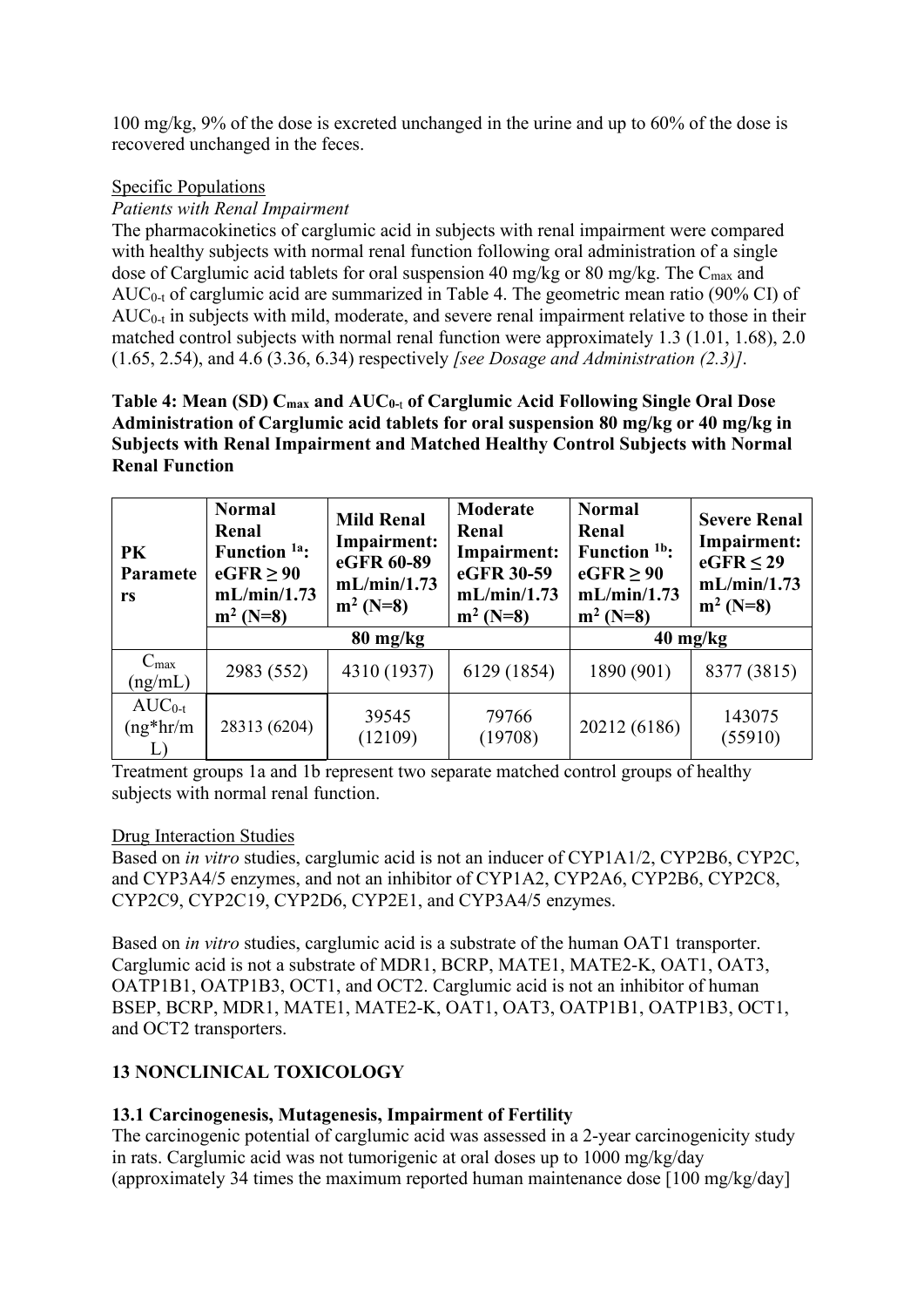100 mg/kg, 9% of the dose is excreted unchanged in the urine and up to 60% of the dose is recovered unchanged in the feces.

#### Specific Populations

#### *Patients with Renal Impairment*

The pharmacokinetics of carglumic acid in subjects with renal impairment were compared with healthy subjects with normal renal function following oral administration of a single dose of Carglumic acid tablets for oral suspension 40 mg/kg or 80 mg/kg. The C<sub>max</sub> and  $AUC_{0-t}$  of carglumic acid are summarized in Table 4. The geometric mean ratio (90% CI) of  $AUC_{0-t}$  in subjects with mild, moderate, and severe renal impairment relative to those in their matched control subjects with normal renal function were approximately 1.3 (1.01, 1.68), 2.0 (1.65, 2.54), and 4.6 (3.36, 6.34) respectively *[see Dosage and Administration (2.3)]*.

**Table 4: Mean (SD) Cmax and AUC0-**<sup>t</sup> **of Carglumic Acid Following Single Oral Dose Administration of Carglumic acid tablets for oral suspension 80 mg/kg or 40 mg/kg in Subjects with Renal Impairment and Matched Healthy Control Subjects with Normal Renal Function**

| PK<br>Paramete<br>rs        | <b>Normal</b><br>Renal<br>Function <sup>1a</sup> :<br>$eGFR \geq 90$<br>mL/min/1.73<br>$m^2$ (N=8) | <b>Mild Renal</b><br>Impairment:<br>eGFR 60-89<br>mL/min/1.73<br>$m^2(N=8)$ | Moderate<br>Renal<br>Impairment:<br>eGFR 30-59<br>mL/min/1.73<br>$m^2(N=8)$ | <b>Normal</b><br>Renal<br>Function <sup>1b</sup> :<br>$eGFR \geq 90$<br>mL/min/1.73<br>$m^2$ (N=8) | <b>Severe Renal</b><br>Impairment:<br>$eGFR \leq 29$<br>mL/min/1.73<br>$m^2(N=8)$ |
|-----------------------------|----------------------------------------------------------------------------------------------------|-----------------------------------------------------------------------------|-----------------------------------------------------------------------------|----------------------------------------------------------------------------------------------------|-----------------------------------------------------------------------------------|
|                             |                                                                                                    | $80 \text{ mg/kg}$                                                          | $40 \text{ mg/kg}$                                                          |                                                                                                    |                                                                                   |
| $C_{\text{max}}$<br>(ng/mL) | 2983 (552)                                                                                         | 4310 (1937)                                                                 | 6129 (1854)                                                                 | 1890 (901)                                                                                         | 8377 (3815)                                                                       |
| $AUC_{0-t}$<br>$($ ng*hr/m  | 28313 (6204)                                                                                       | 39545<br>(12109)                                                            | 79766<br>(19708)                                                            | 20212 (6186)                                                                                       | 143075<br>(55910)                                                                 |

Treatment groups 1a and 1b represent two separate matched control groups of healthy subjects with normal renal function.

#### Drug Interaction Studies

Based on *in vitro* studies, carglumic acid is not an inducer of CYP1A1/2, CYP2B6, CYP2C, and CYP3A4/5 enzymes, and not an inhibitor of CYP1A2, CYP2A6, CYP2B6, CYP2C8, CYP2C9, CYP2C19, CYP2D6, CYP2E1, and CYP3A4/5 enzymes.

Based on *in vitro* studies, carglumic acid is a substrate of the human OAT1 transporter. Carglumic acid is not a substrate of MDR1, BCRP, MATE1, MATE2-K, OAT1, OAT3, OATP1B1, OATP1B3, OCT1, and OCT2. Carglumic acid is not an inhibitor of human BSEP, BCRP, MDR1, MATE1, MATE2-K, OAT1, OAT3, OATP1B1, OATP1B3, OCT1, and OCT2 transporters.

## **13 NONCLINICAL TOXICOLOGY**

## **13.1 Carcinogenesis, Mutagenesis, Impairment of Fertility**

The carcinogenic potential of carglumic acid was assessed in a 2-year carcinogenicity study in rats. Carglumic acid was not tumorigenic at oral doses up to 1000 mg/kg/day (approximately 34 times the maximum reported human maintenance dose [100 mg/kg/day]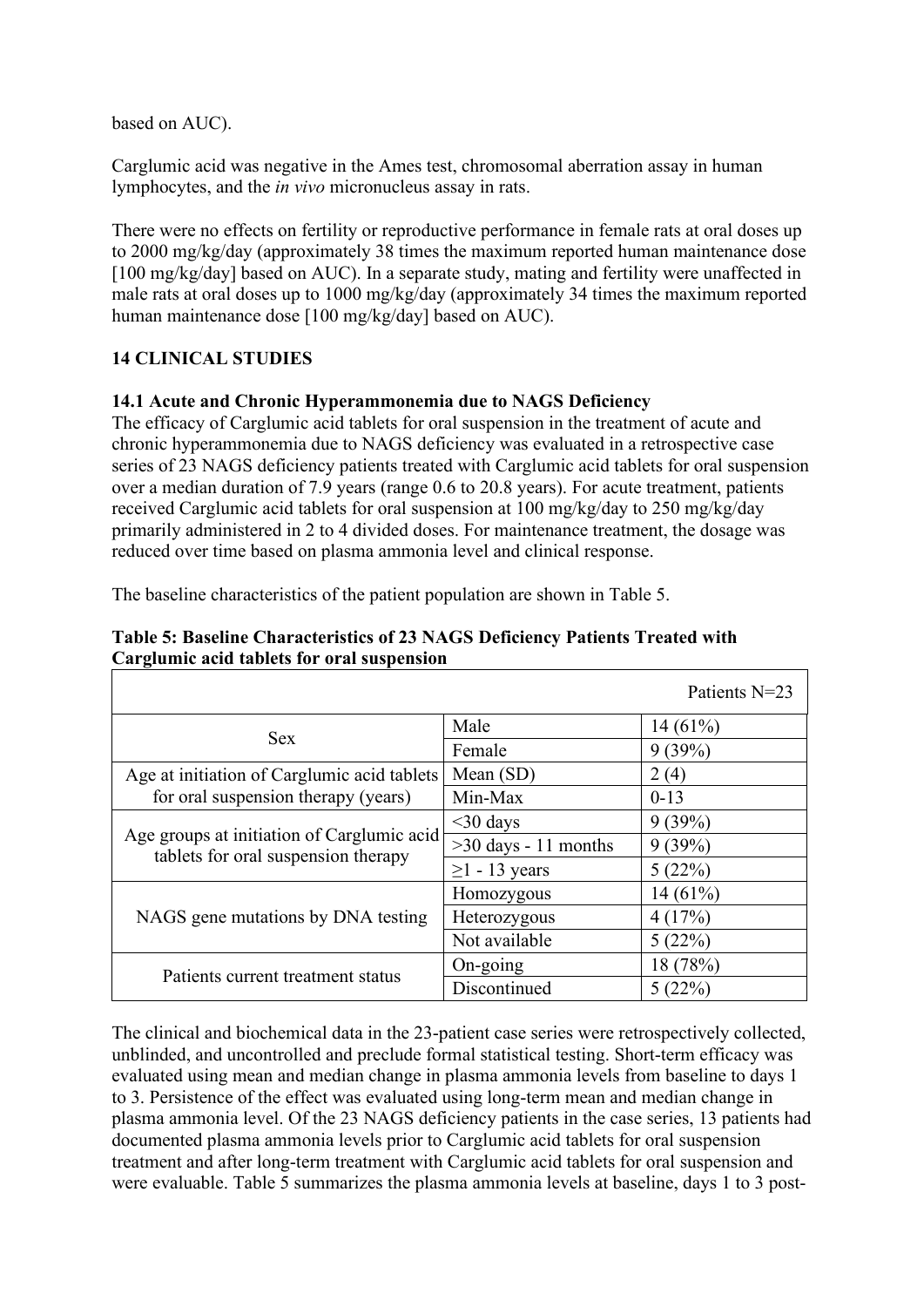based on AUC).

Carglumic acid was negative in the Ames test, chromosomal aberration assay in human lymphocytes, and the *in vivo* micronucleus assay in rats.

There were no effects on fertility or reproductive performance in female rats at oral doses up to 2000 mg/kg/day (approximately 38 times the maximum reported human maintenance dose [100 mg/kg/day] based on AUC). In a separate study, mating and fertility were unaffected in male rats at oral doses up to 1000 mg/kg/day (approximately 34 times the maximum reported human maintenance dose [100 mg/kg/day] based on AUC).

# **14 CLINICAL STUDIES**

#### **14.1 Acute and Chronic Hyperammonemia due to NAGS Deficiency**

The efficacy of Carglumic acid tablets for oral suspension in the treatment of acute and chronic hyperammonemia due to NAGS deficiency was evaluated in a retrospective case series of 23 NAGS deficiency patients treated with Carglumic acid tablets for oral suspension over a median duration of 7.9 years (range 0.6 to 20.8 years). For acute treatment, patients received Carglumic acid tablets for oral suspension at 100 mg/kg/day to 250 mg/kg/day primarily administered in 2 to 4 divided doses. For maintenance treatment, the dosage was reduced over time based on plasma ammonia level and clinical response.

The baseline characteristics of the patient population are shown in Table 5.

|                                                                                   |                        | Patients N=23 |
|-----------------------------------------------------------------------------------|------------------------|---------------|
| <b>Sex</b>                                                                        | Male                   | $14(61\%)$    |
|                                                                                   | Female                 | 9(39%)        |
| Age at initiation of Carglumic acid tablets                                       | Mean $(SD)$            | 2(4)          |
| for oral suspension therapy (years)                                               | Min-Max                | $0-13$        |
| Age groups at initiation of Carglumic acid<br>tablets for oral suspension therapy | $<$ 30 days            | 9(39%)        |
|                                                                                   | $>30$ days - 11 months | 9(39%)        |
|                                                                                   | $\geq$ 1 - 13 years    | 5(22%)        |
|                                                                                   | Homozygous             | 14(61%)       |
| NAGS gene mutations by DNA testing                                                | Heterozygous           | 4(17%)        |
|                                                                                   | Not available          | 5(22%)        |
| Patients current treatment status                                                 | $On\text{-going}$      | 18 (78%)      |
|                                                                                   | Discontinued           | 5(22%)        |

#### **Table 5: Baseline Characteristics of 23 NAGS Deficiency Patients Treated with Carglumic acid tablets for oral suspension**

The clinical and biochemical data in the 23-patient case series were retrospectively collected, unblinded, and uncontrolled and preclude formal statistical testing. Short-term efficacy was evaluated using mean and median change in plasma ammonia levels from baseline to days 1 to 3. Persistence of the effect was evaluated using long-term mean and median change in plasma ammonia level. Of the 23 NAGS deficiency patients in the case series, 13 patients had documented plasma ammonia levels prior to Carglumic acid tablets for oral suspension treatment and after long-term treatment with Carglumic acid tablets for oral suspension and were evaluable. Table 5 summarizes the plasma ammonia levels at baseline, days 1 to 3 post-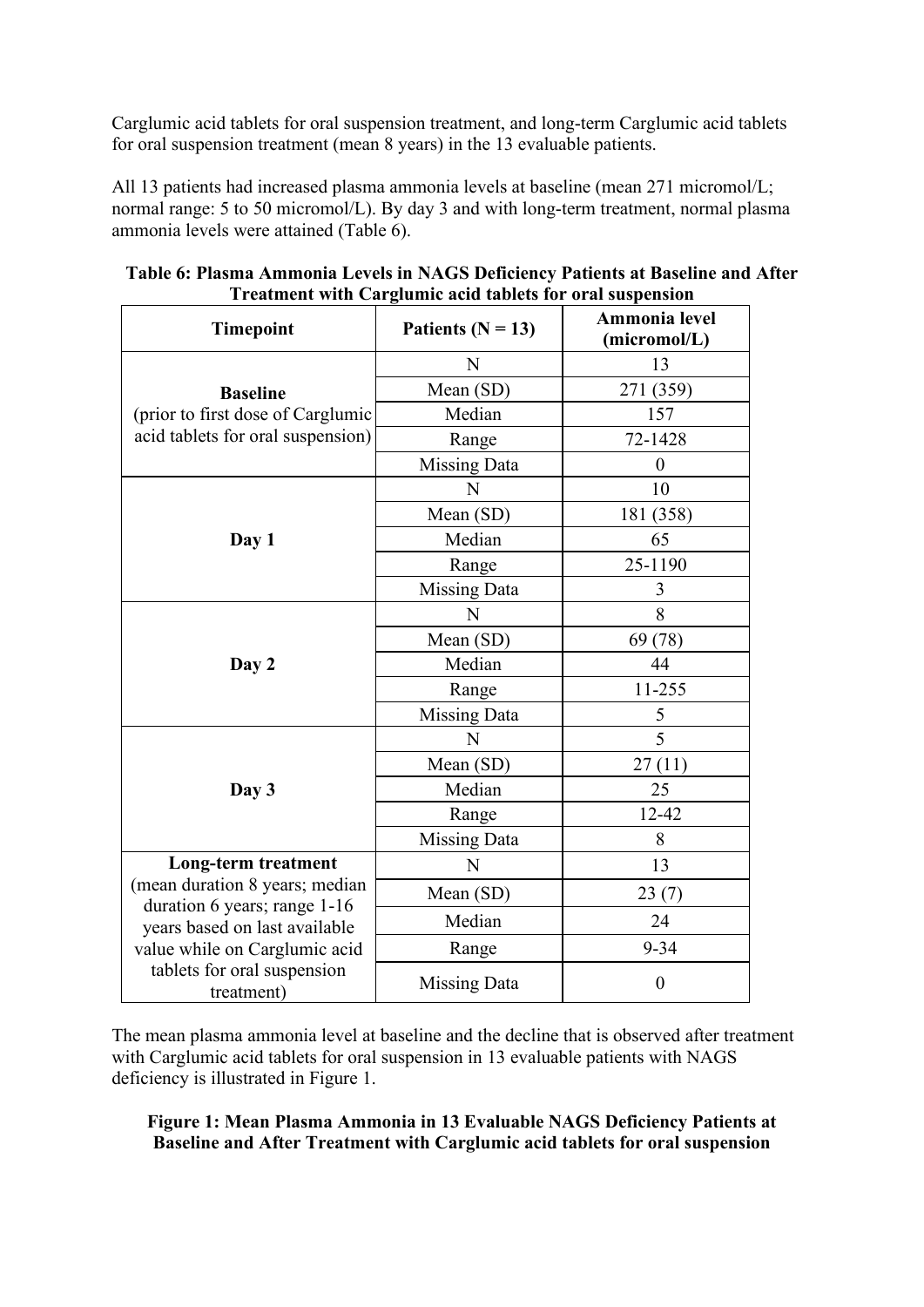Carglumic acid tablets for oral suspension treatment, and long-term Carglumic acid tablets for oral suspension treatment (mean 8 years) in the 13 evaluable patients.

All 13 patients had increased plasma ammonia levels at baseline (mean 271 micromol/L; normal range: 5 to 50 micromol/L). By day 3 and with long-term treatment, normal plasma ammonia levels were attained (Table 6).

| <b>Timepoint</b>                                              | Patients ( $N = 13$ ) | Ammonia level<br>(micromol/L) |
|---------------------------------------------------------------|-----------------------|-------------------------------|
|                                                               | N                     | 13                            |
| <b>Baseline</b>                                               | Mean (SD)             | 271 (359)                     |
| (prior to first dose of Carglumic                             | Median                | 157                           |
| acid tablets for oral suspension)                             | Range                 | 72-1428                       |
|                                                               | <b>Missing Data</b>   | $\theta$                      |
|                                                               | N                     | 10                            |
|                                                               | Mean (SD)             | 181 (358)                     |
| Day 1                                                         | Median                | 65                            |
|                                                               | Range                 | 25-1190                       |
|                                                               | <b>Missing Data</b>   | 3                             |
|                                                               | N                     | 8                             |
| Day 2                                                         | Mean (SD)             | 69 (78)                       |
|                                                               | Median                | 44                            |
|                                                               | Range                 | 11-255                        |
|                                                               | <b>Missing Data</b>   | 5                             |
|                                                               | N                     | 5                             |
|                                                               | Mean (SD)             | 27(11)                        |
| Day 3                                                         | Median                | 25                            |
|                                                               | Range                 | 12-42                         |
|                                                               | <b>Missing Data</b>   | 8                             |
| <b>Long-term treatment</b>                                    | N                     | 13                            |
| (mean duration 8 years; median                                | Mean (SD)             | 23(7)                         |
| duration 6 years; range 1-16<br>years based on last available | Median                | 24                            |
| value while on Carglumic acid                                 | Range                 | $9 - 34$                      |
| tablets for oral suspension<br>treatment)                     | Missing Data          | $\boldsymbol{0}$              |

| Table 6: Plasma Ammonia Levels in NAGS Deficiency Patients at Baseline and After |  |  |  |  |  |
|----------------------------------------------------------------------------------|--|--|--|--|--|
| <b>Treatment with Carglumic acid tablets for oral suspension</b>                 |  |  |  |  |  |

The mean plasma ammonia level at baseline and the decline that is observed after treatment with Carglumic acid tablets for oral suspension in 13 evaluable patients with NAGS deficiency is illustrated in Figure 1.

**Figure 1: Mean Plasma Ammonia in 13 Evaluable NAGS Deficiency Patients at Baseline and After Treatment with Carglumic acid tablets for oral suspension**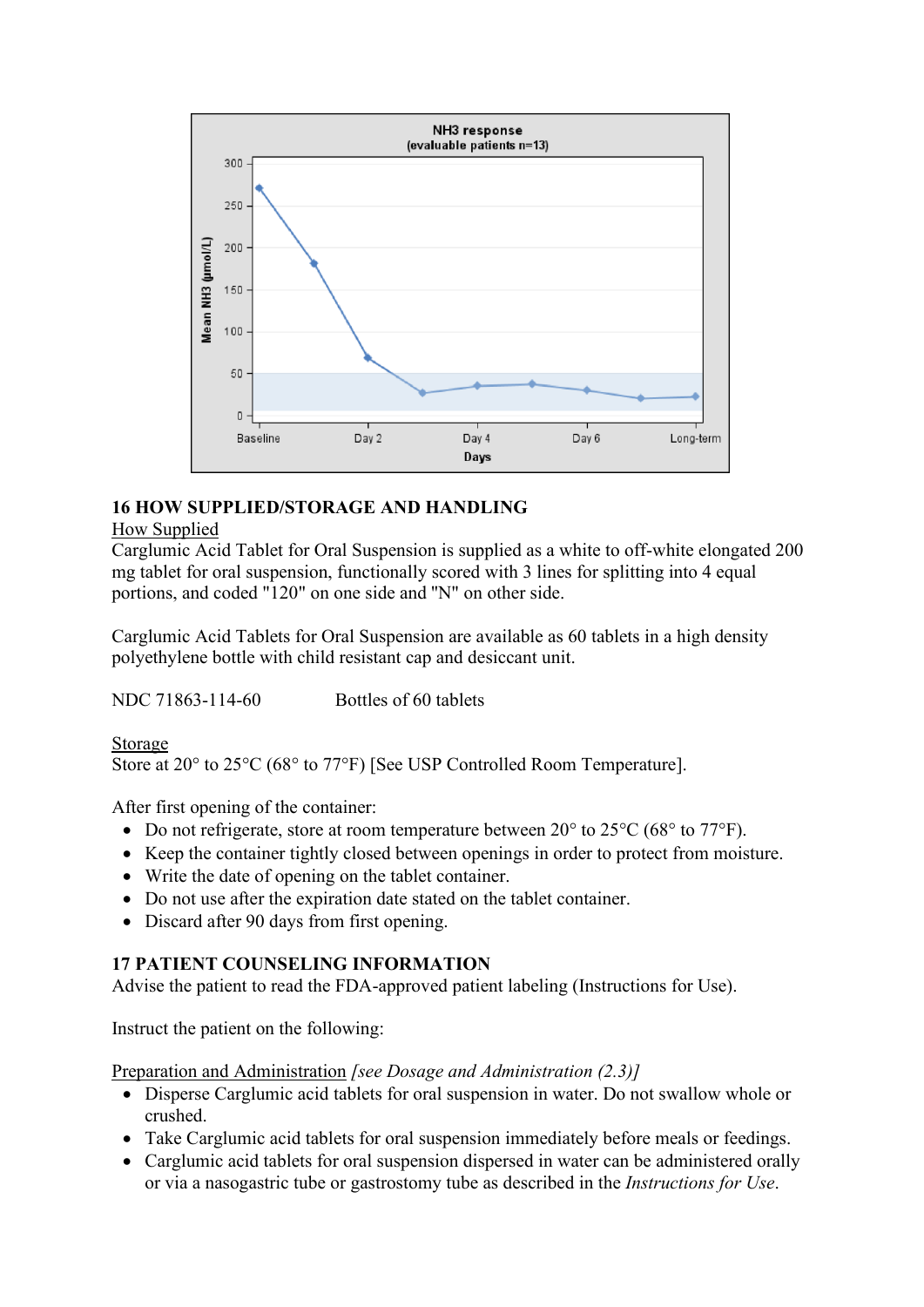

# **16 HOW SUPPLIED/STORAGE AND HANDLING**

## How Supplied

Carglumic Acid Tablet for Oral Suspension is supplied as a white to off-white elongated 200 mg tablet for oral suspension, functionally scored with 3 lines for splitting into 4 equal portions, and coded "120" on one side and ''N" on other side.

Carglumic Acid Tablets for Oral Suspension are available as 60 tablets in a high density polyethylene bottle with child resistant cap and desiccant unit.

NDC 71863-114-60 Bottles of 60 tablets

Storage

Store at 20° to 25°C (68° to 77°F) [See USP Controlled Room Temperature].

After first opening of the container:

- Do not refrigerate, store at room temperature between  $20^{\circ}$  to  $25^{\circ}$ C (68 $^{\circ}$  to  $77^{\circ}$ F).
- Keep the container tightly closed between openings in order to protect from moisture.
- Write the date of opening on the tablet container.
- Do not use after the expiration date stated on the tablet container.
- Discard after 90 days from first opening.

## **17 PATIENT COUNSELING INFORMATION**

Advise the patient to read the FDA-approved patient labeling (Instructions for Use).

Instruct the patient on the following:

Preparation and Administration *[see Dosage and Administration (2.3)]*

- Disperse Carglumic acid tablets for oral suspension in water. Do not swallow whole or crushed.
- Take Carglumic acid tablets for oral suspension immediately before meals or feedings.
- Carglumic acid tablets for oral suspension dispersed in water can be administered orally or via a nasogastric tube or gastrostomy tube as described in the *Instructions for Use*.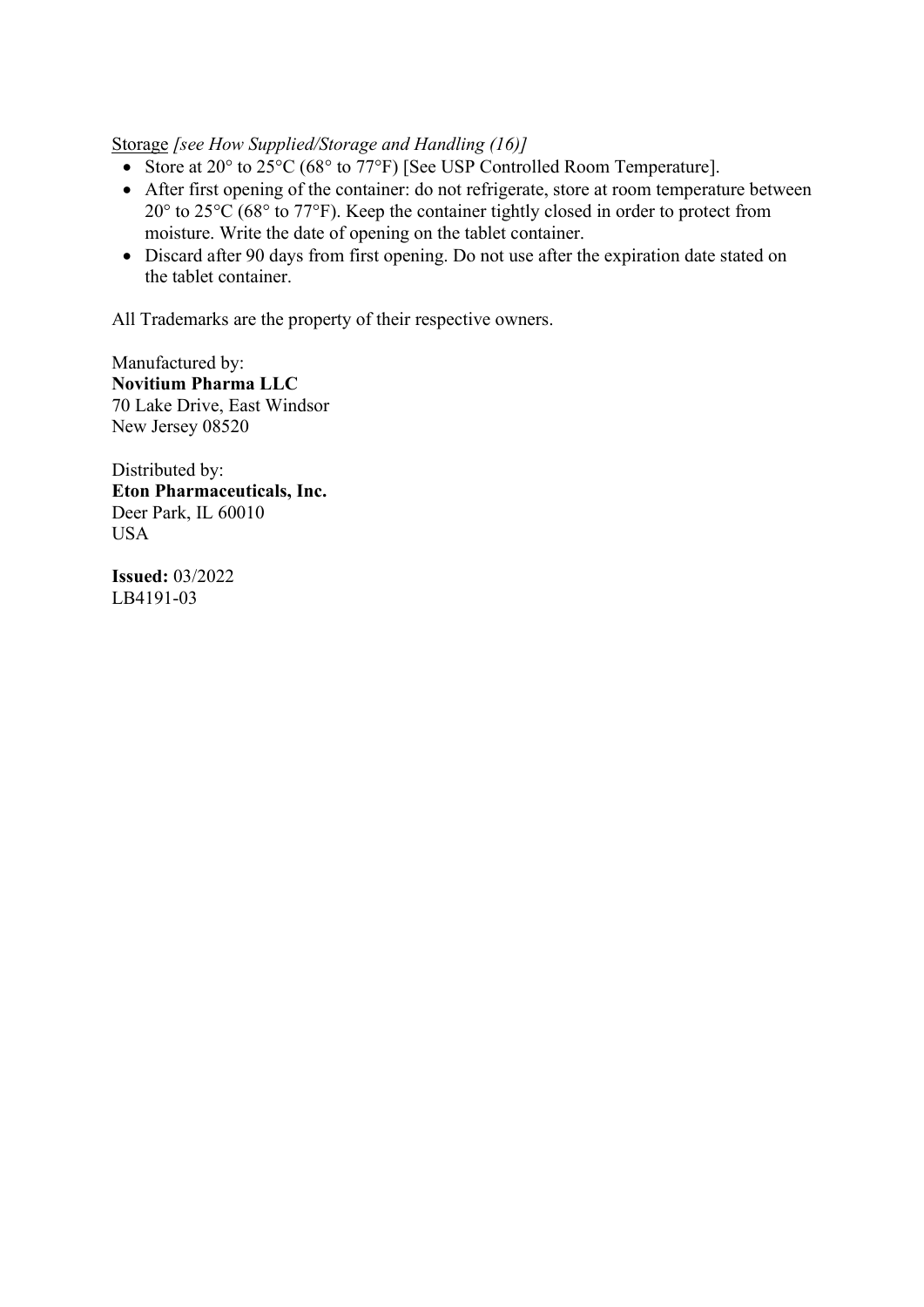Storage *[see How Supplied/Storage and Handling (16)]*

- Store at 20° to 25°C (68° to 77°F) [See USP Controlled Room Temperature].
- After first opening of the container: do not refrigerate, store at room temperature between 20° to 25°C (68° to 77°F). Keep the container tightly closed in order to protect from moisture. Write the date of opening on the tablet container.
- Discard after 90 days from first opening. Do not use after the expiration date stated on the tablet container.

All Trademarks are the property of their respective owners.

Manufactured by: **Novitium Pharma LLC** 70 Lake Drive, East Windsor New Jersey 08520

Distributed by: **Eton Pharmaceuticals, Inc.** Deer Park, IL 60010 USA

**Issued:** 03/2022 LB4191-03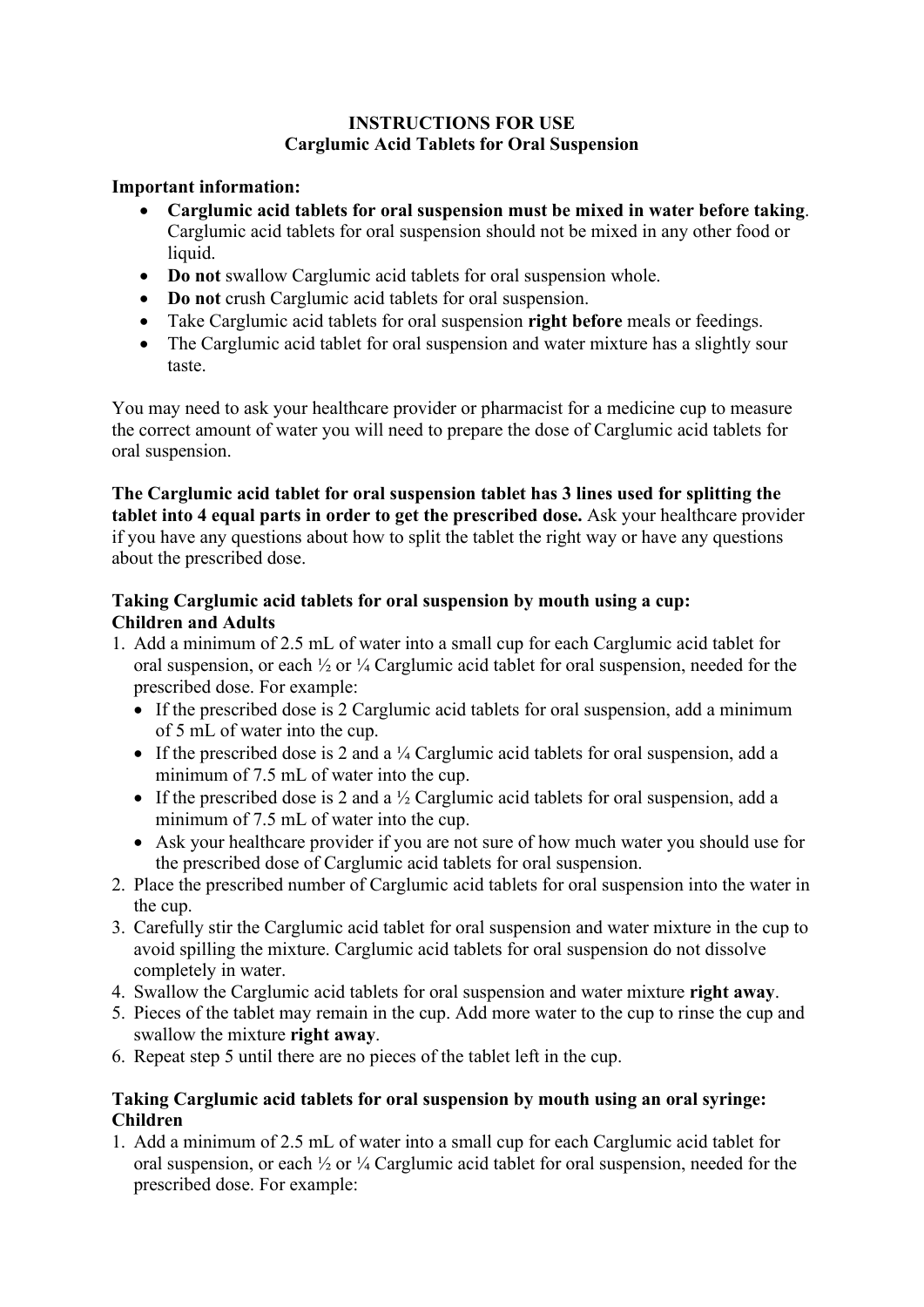## **INSTRUCTIONS FOR USE Carglumic Acid Tablets for Oral Suspension**

## **Important information:**

- **Carglumic acid tablets for oral suspension must be mixed in water before taking**. Carglumic acid tablets for oral suspension should not be mixed in any other food or liquid.
- **Do not** swallow Carglumic acid tablets for oral suspension whole.
- **Do not** crush Carglumic acid tablets for oral suspension.
- Take Carglumic acid tablets for oral suspension **right before** meals or feedings.
- The Carglumic acid tablet for oral suspension and water mixture has a slightly sour taste.

You may need to ask your healthcare provider or pharmacist for a medicine cup to measure the correct amount of water you will need to prepare the dose of Carglumic acid tablets for oral suspension.

**The Carglumic acid tablet for oral suspension tablet has 3 lines used for splitting the tablet into 4 equal parts in order to get the prescribed dose.** Ask your healthcare provider if you have any questions about how to split the tablet the right way or have any questions about the prescribed dose.

## **Taking Carglumic acid tablets for oral suspension by mouth using a cup: Children and Adults**

- 1. Add a minimum of 2.5 mL of water into a small cup for each Carglumic acid tablet for oral suspension, or each ½ or ¼ Carglumic acid tablet for oral suspension, needed for the prescribed dose. For example:
	- If the prescribed dose is 2 Carglumic acid tablets for oral suspension, add a minimum of 5 mL of water into the cup.
	- If the prescribed dose is 2 and a  $\frac{1}{4}$  Carglumic acid tablets for oral suspension, add a minimum of 7.5 mL of water into the cup.
	- If the prescribed dose is 2 and a  $\frac{1}{2}$  Carglumic acid tablets for oral suspension, add a minimum of 7.5 mL of water into the cup.
	- Ask your healthcare provider if you are not sure of how much water you should use for the prescribed dose of Carglumic acid tablets for oral suspension.
- 2. Place the prescribed number of Carglumic acid tablets for oral suspension into the water in the cup.
- 3. Carefully stir the Carglumic acid tablet for oral suspension and water mixture in the cup to avoid spilling the mixture. Carglumic acid tablets for oral suspension do not dissolve completely in water.
- 4. Swallow the Carglumic acid tablets for oral suspension and water mixture **right away**.
- 5. Pieces of the tablet may remain in the cup. Add more water to the cup to rinse the cup and swallow the mixture **right away**.
- 6. Repeat step 5 until there are no pieces of the tablet left in the cup.

## **Taking Carglumic acid tablets for oral suspension by mouth using an oral syringe: Children**

1. Add a minimum of 2.5 mL of water into a small cup for each Carglumic acid tablet for oral suspension, or each ½ or ¼ Carglumic acid tablet for oral suspension, needed for the prescribed dose. For example: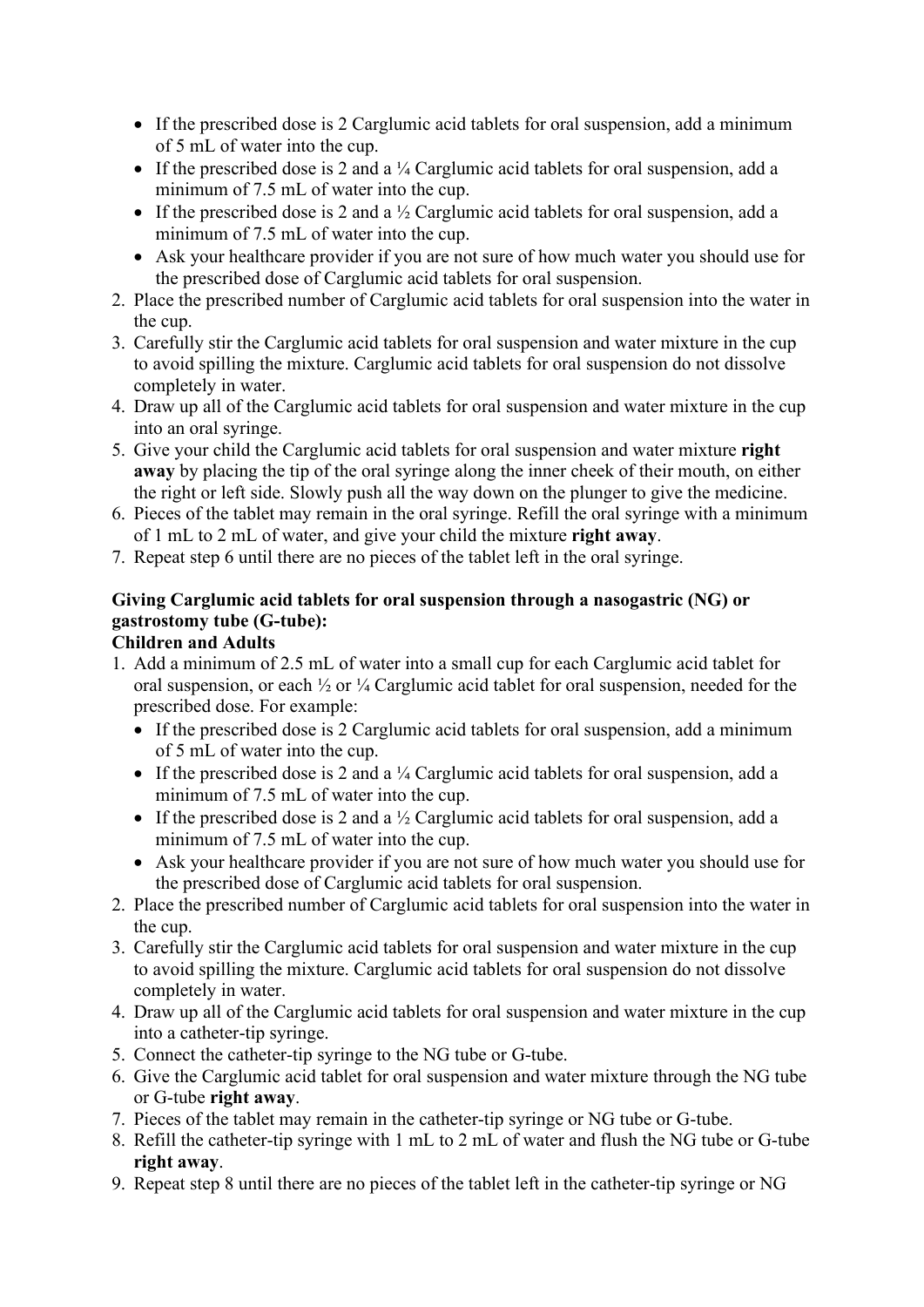- If the prescribed dose is 2 Carglumic acid tablets for oral suspension, add a minimum of 5 mL of water into the cup.
- If the prescribed dose is 2 and a  $\frac{1}{4}$  Carglumic acid tablets for oral suspension, add a minimum of 7.5 mL of water into the cup.
- If the prescribed dose is 2 and a  $\frac{1}{2}$  Carglumic acid tablets for oral suspension, add a minimum of 7.5 mL of water into the cup.
- Ask your healthcare provider if you are not sure of how much water you should use for the prescribed dose of Carglumic acid tablets for oral suspension.
- 2. Place the prescribed number of Carglumic acid tablets for oral suspension into the water in the cup.
- 3. Carefully stir the Carglumic acid tablets for oral suspension and water mixture in the cup to avoid spilling the mixture. Carglumic acid tablets for oral suspension do not dissolve completely in water.
- 4. Draw up all of the Carglumic acid tablets for oral suspension and water mixture in the cup into an oral syringe.
- 5. Give your child the Carglumic acid tablets for oral suspension and water mixture **right away** by placing the tip of the oral syringe along the inner cheek of their mouth, on either the right or left side. Slowly push all the way down on the plunger to give the medicine.
- 6. Pieces of the tablet may remain in the oral syringe. Refill the oral syringe with a minimum of 1 mL to 2 mL of water, and give your child the mixture **right away**.
- 7. Repeat step 6 until there are no pieces of the tablet left in the oral syringe.

# **Giving Carglumic acid tablets for oral suspension through a nasogastric (NG) or gastrostomy tube (G-tube):**

# **Children and Adults**

- 1. Add a minimum of 2.5 mL of water into a small cup for each Carglumic acid tablet for oral suspension, or each ½ or ¼ Carglumic acid tablet for oral suspension, needed for the prescribed dose. For example:
	- If the prescribed dose is 2 Carglumic acid tablets for oral suspension, add a minimum of 5 mL of water into the cup.
	- If the prescribed dose is 2 and a  $\frac{1}{4}$  Carglumic acid tablets for oral suspension, add a minimum of 7.5 mL of water into the cup.
	- If the prescribed dose is 2 and a  $\frac{1}{2}$  Carglumic acid tablets for oral suspension, add a minimum of 7.5 mL of water into the cup.
	- Ask your healthcare provider if you are not sure of how much water you should use for the prescribed dose of Carglumic acid tablets for oral suspension.
- 2. Place the prescribed number of Carglumic acid tablets for oral suspension into the water in the cup.
- 3. Carefully stir the Carglumic acid tablets for oral suspension and water mixture in the cup to avoid spilling the mixture. Carglumic acid tablets for oral suspension do not dissolve completely in water.
- 4. Draw up all of the Carglumic acid tablets for oral suspension and water mixture in the cup into a catheter-tip syringe.
- 5. Connect the catheter-tip syringe to the NG tube or G-tube.
- 6. Give the Carglumic acid tablet for oral suspension and water mixture through the NG tube or G-tube **right away**.
- 7. Pieces of the tablet may remain in the catheter-tip syringe or NG tube or G-tube.
- 8. Refill the catheter-tip syringe with 1 mL to 2 mL of water and flush the NG tube or G-tube **right away**.
- 9. Repeat step 8 until there are no pieces of the tablet left in the catheter-tip syringe or NG